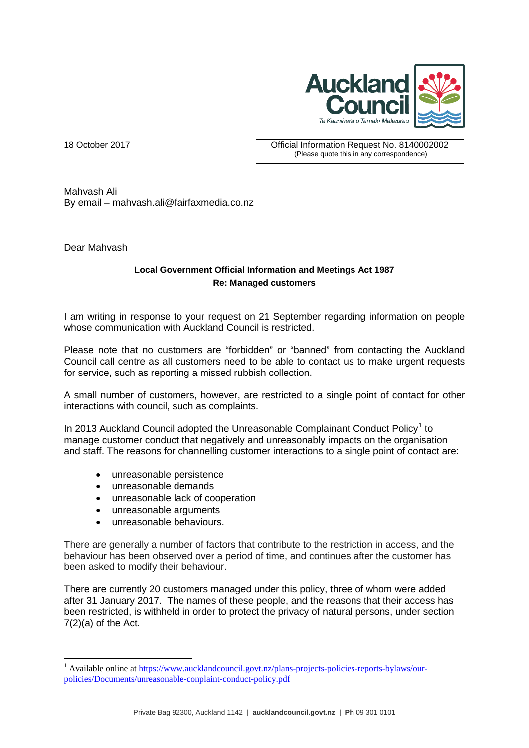

18 October 2017 Official Information Request No. 8140002002 (Please quote this in any correspondence)

Mahvash Ali By email – mahvash.ali@fairfaxmedia.co.nz

Dear Mahvash

<u>.</u>

## **Local Government Official Information and Meetings Act 1987 Re: Managed customers**

I am writing in response to your request on 21 September regarding information on people whose communication with Auckland Council is restricted.

Please note that no customers are "forbidden" or "banned" from contacting the Auckland Council call centre as all customers need to be able to contact us to make urgent requests for service, such as reporting a missed rubbish collection.

A small number of customers, however, are restricted to a single point of contact for other interactions with council, such as complaints.

In 20[1](#page-0-0)3 Auckland Council adopted the Unreasonable Complainant Conduct Policy<sup>1</sup> to manage customer conduct that negatively and unreasonably impacts on the organisation and staff. The reasons for channelling customer interactions to a single point of contact are:

- unreasonable persistence
- unreasonable demands
- unreasonable lack of cooperation
- unreasonable arguments
- unreasonable behaviours.

There are generally a number of factors that contribute to the restriction in access, and the behaviour has been observed over a period of time, and continues after the customer has been asked to modify their behaviour.

There are currently 20 customers managed under this policy, three of whom were added after 31 January 2017. The names of these people, and the reasons that their access has been restricted, is withheld in order to protect the privacy of natural persons, under section  $7(2)(a)$  of the Act.

<span id="page-0-0"></span><sup>&</sup>lt;sup>1</sup> Available online at [https://www.aucklandcouncil.govt.nz/plans-projects-policies-reports-bylaws/our](https://www.aucklandcouncil.govt.nz/plans-projects-policies-reports-bylaws/our-policies/Documents/unreasonable-conplaint-conduct-policy.pdf)[policies/Documents/unreasonable-conplaint-conduct-policy.pdf](https://www.aucklandcouncil.govt.nz/plans-projects-policies-reports-bylaws/our-policies/Documents/unreasonable-conplaint-conduct-policy.pdf)